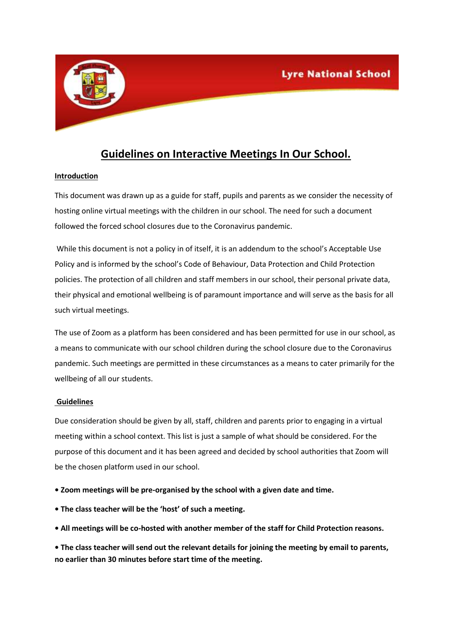

## **Guidelines on Interactive Meetings In Our School.**

## **Introduction**

This document was drawn up as a guide for staff, pupils and parents as we consider the necessity of hosting online virtual meetings with the children in our school. The need for such a document followed the forced school closures due to the Coronavirus pandemic.

While this document is not a policy in of itself, it is an addendum to the school's Acceptable Use Policy and is informed by the school's Code of Behaviour, Data Protection and Child Protection policies. The protection of all children and staff members in our school, their personal private data, their physical and emotional wellbeing is of paramount importance and will serve as the basis for all such virtual meetings.

The use of Zoom as a platform has been considered and has been permitted for use in our school, as a means to communicate with our school children during the school closure due to the Coronavirus pandemic. Such meetings are permitted in these circumstances as a means to cater primarily for the wellbeing of all our students.

## **Guidelines**

Due consideration should be given by all, staff, children and parents prior to engaging in a virtual meeting within a school context. This list is just a sample of what should be considered. For the purpose of this document and it has been agreed and decided by school authorities that Zoom will be the chosen platform used in our school.

**• Zoom meetings will be pre-organised by the school with a given date and time.** 

- **The class teacher will be the 'host' of such a meeting.**
- **All meetings will be co-hosted with another member of the staff for Child Protection reasons.**

**• The class teacher will send out the relevant details for joining the meeting by email to parents, no earlier than 30 minutes before start time of the meeting.**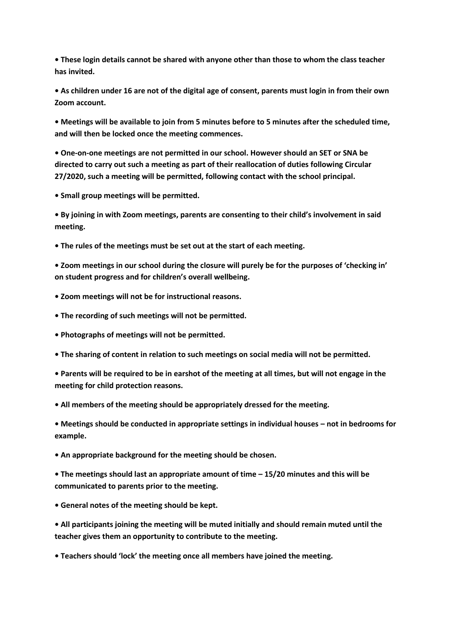**• These login details cannot be shared with anyone other than those to whom the class teacher has invited.** 

**• As children under 16 are not of the digital age of consent, parents must login in from their own Zoom account.**

**• Meetings will be available to join from 5 minutes before to 5 minutes after the scheduled time, and will then be locked once the meeting commences.** 

**• One-on-one meetings are not permitted in our school. However should an SET or SNA be directed to carry out such a meeting as part of their reallocation of duties following Circular 27/2020, such a meeting will be permitted, following contact with the school principal.** 

**• Small group meetings will be permitted.** 

**• By joining in with Zoom meetings, parents are consenting to their child's involvement in said meeting.** 

**• The rules of the meetings must be set out at the start of each meeting.** 

**• Zoom meetings in our school during the closure will purely be for the purposes of 'checking in' on student progress and for children's overall wellbeing.** 

**• Zoom meetings will not be for instructional reasons.** 

**• The recording of such meetings will not be permitted.** 

- **Photographs of meetings will not be permitted.**
- **The sharing of content in relation to such meetings on social media will not be permitted.**

**• Parents will be required to be in earshot of the meeting at all times, but will not engage in the meeting for child protection reasons.** 

**• All members of the meeting should be appropriately dressed for the meeting.** 

**• Meetings should be conducted in appropriate settings in individual houses – not in bedrooms for example.** 

**• An appropriate background for the meeting should be chosen.** 

**• The meetings should last an appropriate amount of time – 15/20 minutes and this will be communicated to parents prior to the meeting.** 

**• General notes of the meeting should be kept.** 

**• All participants joining the meeting will be muted initially and should remain muted until the teacher gives them an opportunity to contribute to the meeting.** 

**• Teachers should 'lock' the meeting once all members have joined the meeting.**